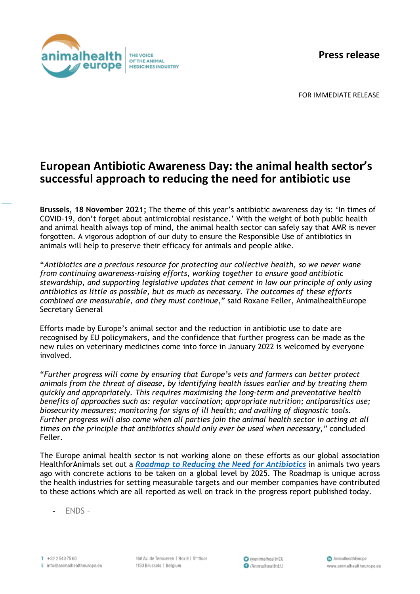**Press release**



FOR IMMEDIATE RELEASE

## **European Antibiotic Awareness Day: the animal health sector's successful approach to reducing the need for antibiotic use**

**Brussels, 18 November 2021;** The theme of this year's antibiotic awareness day is: 'In times of COVID-19, don't forget about antimicrobial resistance.' With the weight of both public health and animal health always top of mind, the animal health sector can safely say that AMR is never forgotten. A vigorous adoption of our duty to ensure the Responsible Use of antibiotics in animals will help to preserve their efficacy for animals and people alike.

"*Antibiotics are a precious resource for protecting our collective health, so we never wane from continuing awareness-raising efforts, working together to ensure good antibiotic stewardship, and supporting legislative updates that cement in law our principle of only using antibiotics as little as possible, but as much as necessary. The outcomes of these efforts combined are measurable, and they must continue*," said Roxane Feller, AnimalhealthEurope Secretary General

Efforts made by Europe's animal sector and the reduction in antibiotic use to date are recognised by EU policymakers, and the confidence that further progress can be made as the new rules on veterinary medicines come into force in January 2022 is welcomed by everyone involved.

"*Further progress will come by ensuring that Europe's vets and farmers can better protect animals from the threat of disease, by identifying health issues earlier and by treating them quickly and appropriately. This requires maximising the long-term and preventative health benefits of approaches such as: regular vaccination; appropriate nutrition; antiparasitics use; biosecurity measures; monitoring for signs of ill health; and availing of diagnostic tools. Further progress will also come when all parties join the animal health sector in acting at all times on the principle that antibiotics should only ever be used when necessary,"* concluded Feller.

The Europe animal health sector is not working alone on these efforts as our global association HealthforAnimals set out a *[Roadmap to Reducing the Need for Antibiotics](https://healthforanimals.org/roadmap/)* in animals two years ago with concrete actions to be taken on a global level by 2025. The Roadmap is unique across the health industries for setting measurable targets and our member companies have contributed to these actions which are all reported as well on track in the progress report published today.

- ENDS –